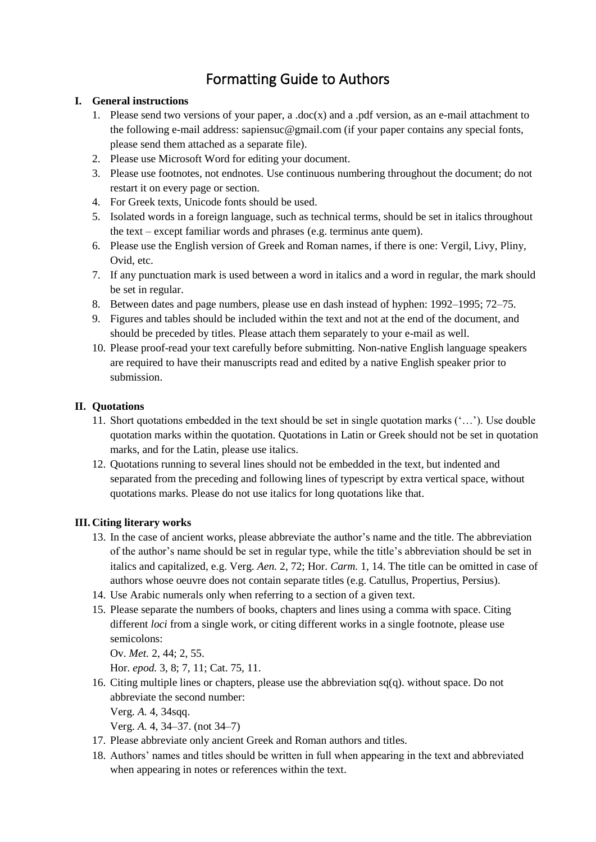# Formatting Guide to Authors

# **I. General instructions**

- 1. Please send two versions of your paper, a .doc(x) and a .pdf version, as an e-mail attachment to the following e-mail address: sapiensuc@gmail.com (if your paper contains any special fonts, please send them attached as a separate file).
- 2. Please use Microsoft Word for editing your document.
- 3. Please use footnotes, not endnotes. Use continuous numbering throughout the document; do not restart it on every page or section.
- 4. For Greek texts, Unicode fonts should be used.
- 5. Isolated words in a foreign language, such as technical terms, should be set in italics throughout the text – except familiar words and phrases (e.g. terminus ante quem).
- 6. Please use the English version of Greek and Roman names, if there is one: Vergil, Livy, Pliny, Ovid, etc.
- 7. If any punctuation mark is used between a word in italics and a word in regular, the mark should be set in regular.
- 8. Between dates and page numbers, please use en dash instead of hyphen: 1992–1995; 72–75.
- 9. Figures and tables should be included within the text and not at the end of the document, and should be preceded by titles. Please attach them separately to your e-mail as well.
- 10. Please proof-read your text carefully before submitting. Non-native English language speakers are required to have their manuscripts read and edited by a native English speaker prior to submission.

# **II. Quotations**

- 11. Short quotations embedded in the text should be set in single quotation marks ('…'). Use double quotation marks within the quotation. Quotations in Latin or Greek should not be set in quotation marks, and for the Latin, please use italics.
- 12. Quotations running to several lines should not be embedded in the text, but indented and separated from the preceding and following lines of typescript by extra vertical space, without quotations marks. Please do not use italics for long quotations like that.

# **III. Citing literary works**

- 13. In the case of ancient works, please abbreviate the author's name and the title. The abbreviation of the author's name should be set in regular type, while the title's abbreviation should be set in italics and capitalized, e.g. Verg. *Aen.* 2, 72; Hor. *Carm.* 1, 14. The title can be omitted in case of authors whose oeuvre does not contain separate titles (e.g. Catullus, Propertius, Persius).
- 14. Use Arabic numerals only when referring to a section of a given text.
- 15. Please separate the numbers of books, chapters and lines using a comma with space. Citing different *loci* from a single work, or citing different works in a single footnote, please use semicolons:

Ov. *Met.* 2, 44; 2, 55.

Hor. *epod.* 3, 8; 7, 11; Cat. 75, 11.

- 16. Citing multiple lines or chapters, please use the abbreviation sq(q). without space. Do not abbreviate the second number: Verg. *A.* 4, 34sqq.
	- Verg. *A.* 4, 34–37. (not 34–7)
- 17. Please abbreviate only ancient Greek and Roman authors and titles.
- 18. Authors' names and titles should be written in full when appearing in the text and abbreviated when appearing in notes or references within the text.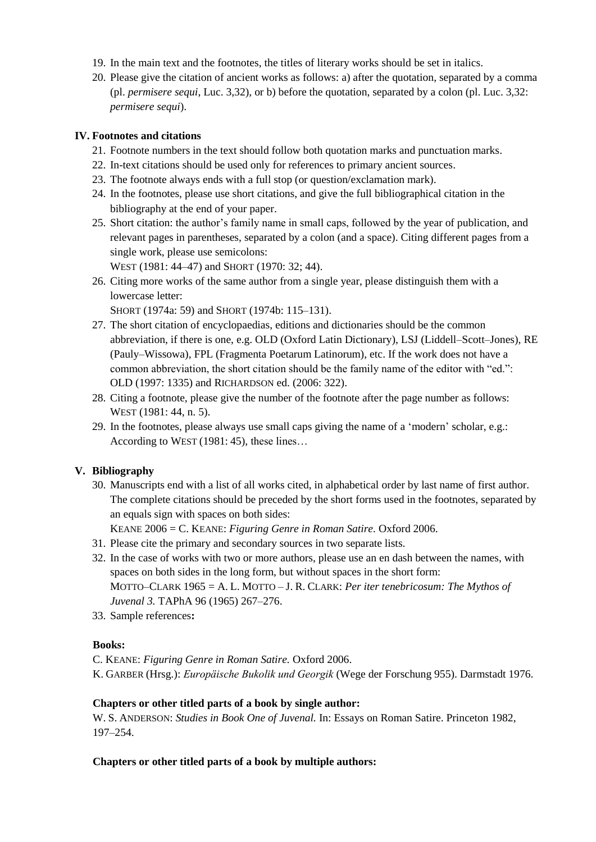- 19. In the main text and the footnotes, the titles of literary works should be set in italics.
- 20. Please give the citation of ancient works as follows: a) after the quotation, separated by a comma (pl. *permisere sequi*, Luc. 3,32), or b) before the quotation, separated by a colon (pl. Luc. 3,32: *permisere sequi*).

#### **IV. Footnotes and citations**

- 21. Footnote numbers in the text should follow both quotation marks and punctuation marks.
- 22. In-text citations should be used only for references to primary ancient sources.
- 23. The footnote always ends with a full stop (or question/exclamation mark).
- 24. In the footnotes, please use short citations, and give the full bibliographical citation in the bibliography at the end of your paper.
- 25. Short citation: the author's family name in small caps, followed by the year of publication, and relevant pages in parentheses, separated by a colon (and a space). Citing different pages from a single work, please use semicolons:

WEST (1981: 44–47) and SHORT (1970: 32; 44).

26. Citing more works of the same author from a single year, please distinguish them with a lowercase letter:

SHORT (1974a: 59) and SHORT (1974b: 115–131).

- 27. The short citation of encyclopaedias, editions and dictionaries should be the common abbreviation, if there is one, e.g. OLD (Oxford Latin Dictionary), LSJ (Liddell–Scott–Jones), RE (Pauly–Wissowa), FPL (Fragmenta Poetarum Latinorum), etc. If the work does not have a common abbreviation, the short citation should be the family name of the editor with "ed.": OLD (1997: 1335) and RICHARDSON ed. (2006: 322).
- 28. Citing a footnote, please give the number of the footnote after the page number as follows: WEST (1981: 44, n. 5).
- 29. In the footnotes, please always use small caps giving the name of a 'modern' scholar, e.g.: According to WEST (1981: 45), these lines…

# **V. Bibliography**

30. Manuscripts end with a list of all works cited, in alphabetical order by last name of first author. The complete citations should be preceded by the short forms used in the footnotes, separated by an equals sign with spaces on both sides:

KEANE 2006 = C. KEANE: *Figuring Genre in Roman Satire.* Oxford 2006.

- 31. Please cite the primary and secondary sources in two separate lists.
- 32. In the case of works with two or more authors, please use an en dash between the names, with spaces on both sides in the long form, but without spaces in the short form: MOTTO–CLARK 1965 = A. L. MOTTO – J. R. CLARK: *Per iter tenebricosum: The Mythos of Juvenal 3.* TAPhA 96 (1965) 267–276.
- 33. Sample references**:**

# **Books:**

- C. KEANE: *Figuring Genre in Roman Satire.* Oxford 2006.
- K. GARBER (Hrsg.): *Europäische Bukolik und Georgik* (Wege der Forschung 955). Darmstadt 1976.

#### **Chapters or other titled parts of a book by single author:**

W. S. ANDERSON: *Studies in Book One of Juvenal.* In: Essays on Roman Satire. Princeton 1982, 197–254.

#### **Chapters or other titled parts of a book by multiple authors:**